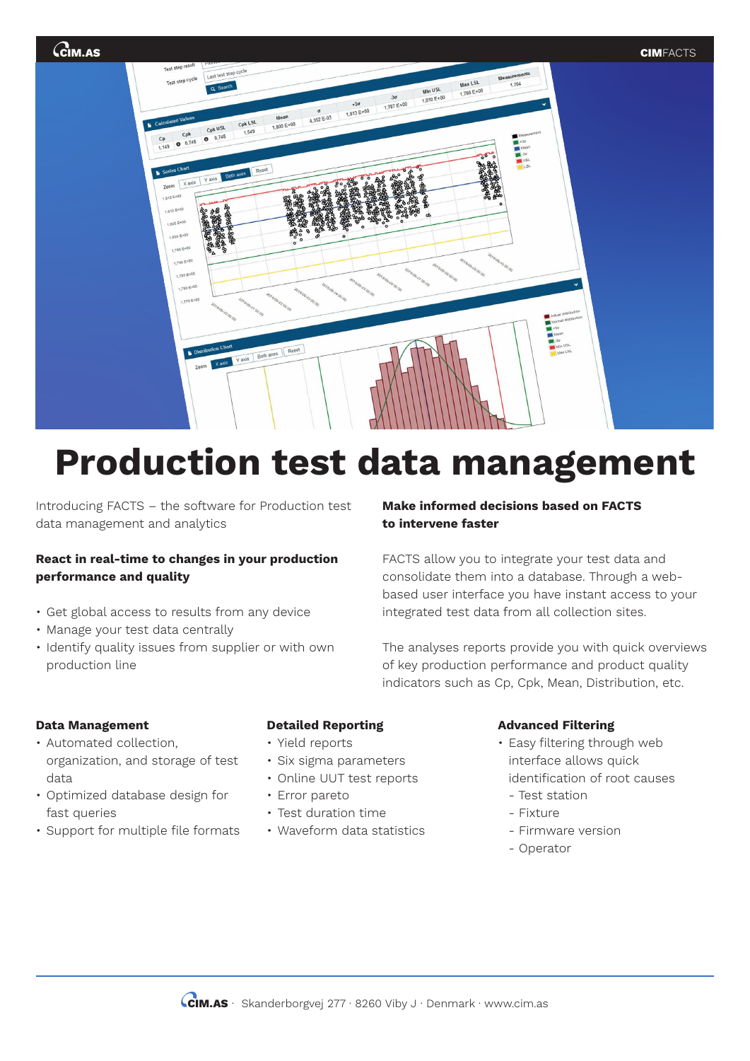

# **Production test data management**

Introducing FACTS – the software for Production test data management and analytics

## **React in real-time to changes in your production performance and quality**

- Get global access to results from any device
- Manage your test data centrally
- Identify quality issues from supplier or with own production line

# **Make informed decisions based on FACTS to intervene faster**

FACTS allow you to integrate your test data and consolidate them into a database. Through a webbased user interface you have instant access to your integrated test data from all collection sites.

The analyses reports provide you with quick overviews of key production performance and product quality indicators such as Cp, Cpk, Mean, Distribution, etc.

#### **Data Management**

- Automated collection, organization, and storage of test data
- Optimized database design for fast queries
- Support for multiple file formats

## **Detailed Reporting**

- Yield reports
- Six sigma parameters
- Online UUT test reports
- Error pareto
- Test duration time
- Waveform data statistics

#### **Advanced Filtering**

- Easy filtering through web interface allows quick identification of root causes
	- Test station
- Fixture
- Firmware version
- Operator